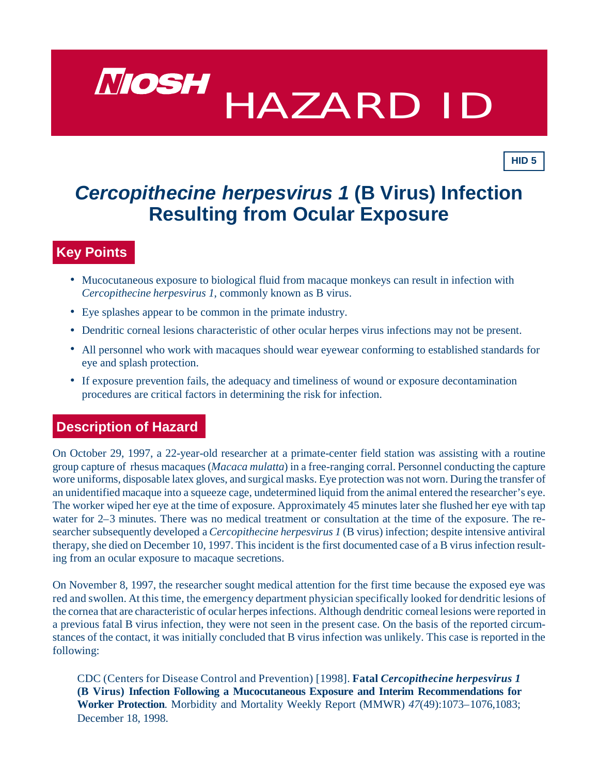

*Cercopithecine herpesvirus 1* **(B Virus) Infection Resulting from Ocular Exposure**

**HID 5**

# **Key Points**

- Mucocutaneous exposure to biological fluid from macaque monkeys can result in infection with *Cercopithecine herpesvirus 1*, commonly known as B virus.
- Eye splashes appear to be common in the primate industry.
- Dendritic corneal lesions characteristic of other ocular herpes virus infections may not be present.
- All personnel who work with macaques should wear eyewear conforming to established standards for eye and splash protection.
- If exposure prevention fails, the adequacy and timeliness of wound or exposure decontamination procedures are critical factors in determining the risk for infection.

### **Description of Hazard**

On October 29, 1997, a 22-year-old researcher at a primate-center field station was assisting with a routine group capture of rhesus macaques (*Macaca mulatta*) in a free-ranging corral. Personnel conducting the capture wore uniforms, disposable latex gloves, and surgical masks. Eye protection was not worn. During the transfer of an unidentified macaque into a squeeze cage, undetermined liquid from the animal entered the researcher's eye. The worker wiped her eye at the time of exposure. Approximately 45 minutes later she flushed her eye with tap water for  $2-3$  minutes. There was no medical treatment or consultation at the time of the exposure. The researcher subsequently developed a *Cercopithecine herpesvirus 1* (B virus) infection; despite intensive antiviral therapy, she died on December 10, 1997. This incident is the first documented case of a B virus infection resulting from an ocular exposure to macaque secretions.

On November 8, 1997, the researcher sought medical attention for the first time because the exposed eye was red and swollen. At this time, the emergency department physician specifically looked for dendritic lesions of the cornea that are characteristic of ocular herpes infections. Although dendritic corneal lesions were reported in a previous fatal B virus infection, they were not seen in the present case. On the basis of the reported circumstances of the contact, it was initially concluded that B virus infection was unlikely. This case is reported in the following:

CDC (Cen ters for Dis ease Con trol and Pre ven tion) [1998]. **Fa tal** *Cercopithecine herpesvirus 1* **(B Virus) Infection Following a Mucocutaneous Exposure and Interim Recommendations for Worker Protection**. Morbidity and Mortality Weekly Report (MMWR) 47(49):1073–1076,1083; December 18, 1998.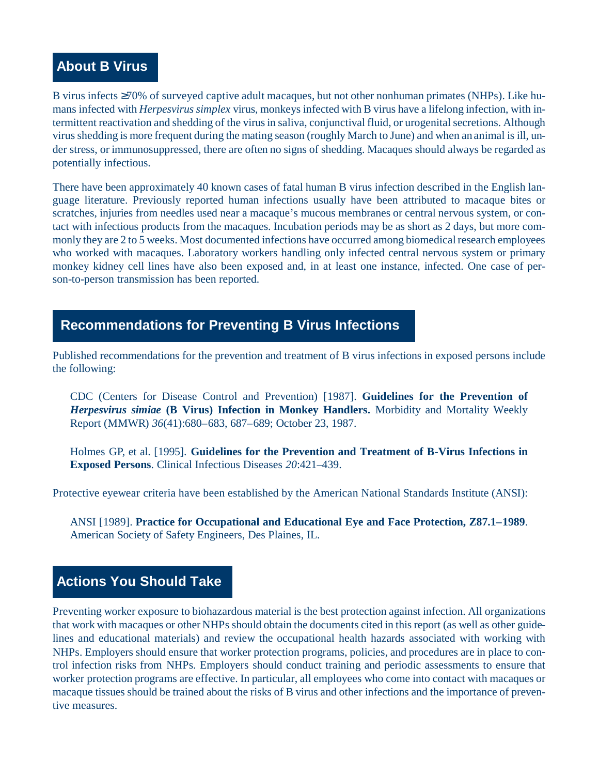# **About B Virus**

B virus infects ≥70% of surveyed captive adult macaques, but not other nonhuman primates (NHPs). Like humans infected with *Herpesvirus simplex* virus, monkeys infected with B virus have a lifelong infection, with inter mittent reactivation and shedding of the virus in saliva, conjunctival fluid, or urogenital secretions. Although virus shedding is more frequent during the mating season (roughly March to June) and when an animal is ill, under stress, or immunosuppressed, there are often no signs of shedding. Macaques should always be regarded as potentially infectious.

There have been approximately 40 known cases of fatal human B virus infection described in the English language literature. Previously reported human infections usually have been attributed to macaque bites or scratches, in juries from needles used near a macaque's mucous membranes or central nervous system, or contact with infectious products from the macaques. Incubation periods may be as short as 2 days, but more commonly they are 2 to 5 weeks. Most documented infections have occurred among biomedical research employees who worked with macaques. Laboratory workers handling only infected central nervous system or primary monkey kidney cell lines have also been exposed and, in at least one instance, infected. One case of person-to-person transmission has been reported.

# **Recommendations for Preventing B Virus Infections**

Published recommendations for the prevention and treatment of B virus infections in exposed persons include the following:

CDC (Centers for Disease Control and Prevention) [1987]. **Guidelines for the Prevention of** *Herpesvirus simiae* **(B Virus) Infection in Monkey Handlers.** Morbidity and Mortality Weekly Report (MMWR) *36*(41):680–683, 687–689; October 23, 1987.

Holmes GP, et al. [1995]. **Guidelines for the Prevention and Treatment of B-Virus Infections in Exposed Persons**. Clinical Infectious Diseases *20*:421–439.

Protective eyewear criteria have been established by the American National Standards Institute (ANSI):

ANSI [1989]. **Practice for Occupational and Educational Eye and Face Protection, Z87.1–1989**. American Society of Safety Engineers, Des Plaines, IL.

# **Actions You Should Take**

Preventing worker exposure to biohazardous material is the best protection against infection. All organizations that work with macaques or other NHPs should obtain the documents cited in this report (as well as other guidelines and educational materials) and review the occupational health hazards associated with working with NHPs. Employers should ensure that worker protection programs, policies, and procedures are in place to control infection risks from NHPs. Employers should conduct training and periodic assessments to ensure that worker protection programs are effective. In particular, all employees who come into contact with macaques or ma caque tissues should be trained about the risks of B virus and other infections and the importance of preventive measures.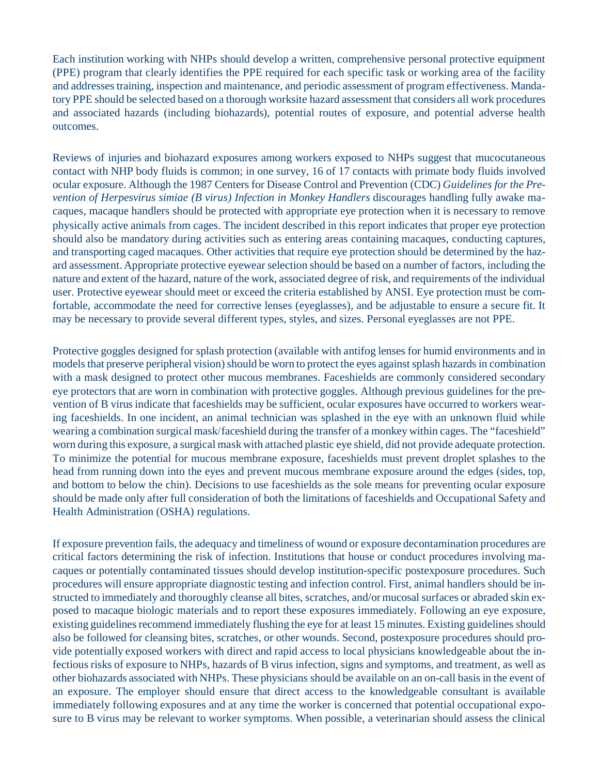Each institution working with NHPs should develop a written, comprehensive personal protective equipment (PPE) program that clearly identifies the PPE required for each specific task or working area of the facility and addresses training, inspection and maintenance, and periodic assessment of program effectiveness. Mandatory PPE should be selected based on a thorough worksite hazard assessment that considers all work procedures and associated hazards (including biohazards), potential routes of exposure, and potential adverse health outcomes.

Reviews of injuries and biohazard exposures among workers exposed to NHPs suggest that mucocutaneous contact with NHP body fluids is common; in one survey, 16 of 17 contacts with primate body fluids involved ocular exposure. Although the 1987 Centers for Disease Control and Prevention (CDC) *Guidelines for the Prevention of Herpesvirus simiae (B virus) Infection in Monkey Handlers* discourages handling fully awake macaques, ma caque handlers should be protected with appropriate eye protection when it is necessary to remove physically active animals from cages. The incident described in this report indicates that proper eye protection should also be mandatory during activities such as entering areas containing macaques, conducting captures, and transporting caged macaques. Other activities that require eye protection should be determined by the hazard assessment. Appropriate protective eyewear selection should be based on a number of factors, including the nature and extent of the hazard, nature of the work, associated degree of risk, and requirements of the individual user. Protective eyewear should meet or exceed the criteria established by ANSI. Eye protection must be comfortable, accommodate the need for corrective lenses (eyeglasses), and be adjustable to ensure a secure fit. It may be necessary to provide several different types, styles, and sizes. Personal eyeglasses are not PPE.

Protective goggles designed for splash protection (available with antifog lenses for humid environments and in models that preserve peripheral vision) should be worn to protect the eyes against splash hazards in combination with a mask designed to protect other mucous membranes. Faceshields are commonly considered secondary eye protectors that are worn in combination with protective goggles. Although previous guidelines for the prevention of B virus indicate that faceshields may be sufficient, ocular exposures have occurred to workers wearing faceshields. In one incident, an animal technician was splashed in the eye with an unknown fluid while wearing a combination surgical mask/faceshield during the transfer of a monkey within cages. The "faceshield" worn during this exposure, a surgical mask with attached plastic eye shield, did not provide adequate protection. To minimize the potential for mucous membrane exposure, faceshields must prevent droplet splashes to the head from running down into the eyes and prevent mucous membrane exposure around the edges (sides, top, and bottom to below the chin). Decisions to use faceshields as the sole means for preventing ocular exposure should be made only after full consideration of both the limitations of faceshields and Occupational Safety and Health Administration (OSHA) regulations.

If exposure prevention fails, the adequacy and time liness of wound or exposure decontamination procedures are critical factors determining the risk of infection. Institutions that house or conduct procedures involving macaques or potentially contaminated tissues should develop institution-specific postexposure procedures. Such procedures will ensure appropriate diagnostic testing and infection control. First, animal handlers should be instructed to immediately and thoroughly cleanse all bites, scratches, and/or mucosal surfaces or abraded skin exposed to macaque biologic materials and to report these exposures immediately. Following an eye exposure, existing guidelines recommend immediately flushing the eye for at least 15 minutes. Existing guidelines should also be followed for cleansing bites, scratches, or other wounds. Second, postexposure procedures should provide potentially exposed workers with direct and rapid access to local physicians knowledgeable about the infectious risks of exposure to NHPs, hazards of B virus infection, signs and symptoms, and treatment, as well as other biohazards associated with NHPs. These physicians should be available on an on-call basis in the event of an exposure. The employer should ensure that direct access to the knowledgeable consultant is available immediately following exposures and at any time the worker is concerned that potential occupational exposure to B virus may be relevant to worker symptoms. When possible, a veterinarian should assess the clinical